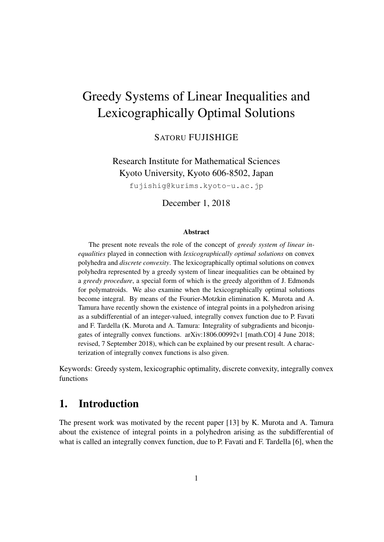# Greedy Systems of Linear Inequalities and Lexicographically Optimal Solutions

SATORU FUJISHIGE

Research Institute for Mathematical Sciences Kyoto University, Kyoto 606-8502, Japan

fujishig@kurims.kyoto-u.ac.jp

December 1, 2018

#### **Abstract**

The present note reveals the role of the concept of *greedy system of linear inequalities* played in connection with *lexicographically optimal solutions* on convex polyhedra and *discrete convexity*. The lexicographically optimal solutions on convex polyhedra represented by a greedy system of linear inequalities can be obtained by a *greedy procedure*, a special form of which is the greedy algorithm of J. Edmonds for polymatroids. We also examine when the lexicographically optimal solutions become integral. By means of the Fourier-Motzkin elimination K. Murota and A. Tamura have recently shown the existence of integral points in a polyhedron arising as a subdifferential of an integer-valued, integrally convex function due to P. Favati and F. Tardella (K. Murota and A. Tamura: Integrality of subgradients and biconjugates of integrally convex functions. arXiv:1806.00992v1 [math.CO] 4 June 2018; revised, 7 September 2018), which can be explained by our present result. A characterization of integrally convex functions is also given.

Keywords: Greedy system, lexicographic optimality, discrete convexity, integrally convex functions

## 1. Introduction

The present work was motivated by the recent paper [13] by K. Murota and A. Tamura about the existence of integral points in a polyhedron arising as the subdifferential of what is called an integrally convex function, due to P. Favati and F. Tardella [6], when the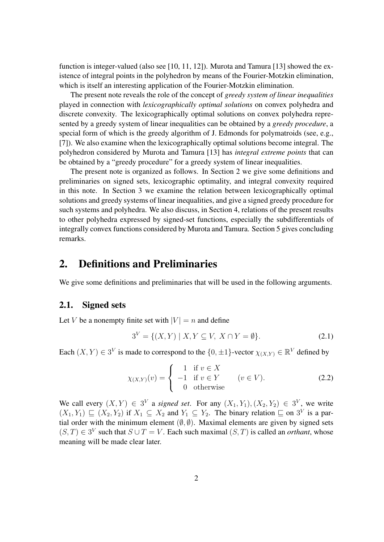function is integer-valued (also see [10, 11, 12]). Murota and Tamura [13] showed the existence of integral points in the polyhedron by means of the Fourier-Motzkin elimination, which is itself an interesting application of the Fourier-Motzkin elimination.

The present note reveals the role of the concept of *greedy system of linear inequalities* played in connection with *lexicographically optimal solutions* on convex polyhedra and discrete convexity. The lexicographically optimal solutions on convex polyhedra represented by a greedy system of linear inequalities can be obtained by a *greedy procedure*, a special form of which is the greedy algorithm of J. Edmonds for polymatroids (see, e.g., [7]). We also examine when the lexicographically optimal solutions become integral. The polyhedron considered by Murota and Tamura [13] has *integral extreme points* that can be obtained by a "greedy procedure" for a greedy system of linear inequalities.

The present note is organized as follows. In Section 2 we give some definitions and preliminaries on signed sets, lexicographic optimality, and integral convexity required in this note. In Section 3 we examine the relation between lexicographically optimal solutions and greedy systems of linear inequalities, and give a signed greedy procedure for such systems and polyhedra. We also discuss, in Section 4, relations of the present results to other polyhedra expressed by signed-set functions, especially the subdifferentials of integrally convex functions considered by Murota and Tamura. Section 5 gives concluding remarks.

## 2. Definitions and Preliminaries

We give some definitions and preliminaries that will be used in the following arguments.

### 2.1. Signed sets

Let *V* be a nonempty finite set with  $|V| = n$  and define

$$
3^V = \{ (X, Y) \mid X, Y \subseteq V, \ X \cap Y = \emptyset \}. \tag{2.1}
$$

Each  $(X, Y) \in 3^V$  is made to correspond to the  $\{0, \pm 1\}$ -vector  $\chi_{(X, Y)} \in \mathbb{R}^V$  defined by

$$
\chi_{(X,Y)}(v) = \begin{cases}\n1 & \text{if } v \in X \\
-1 & \text{if } v \in Y \\
0 & \text{otherwise}\n\end{cases} \quad (v \in V).
$$
\n(2.2)

We call every  $(X, Y) \in 3^V$  a *signed set*. For any  $(X_1, Y_1), (X_2, Y_2) \in 3^V$ , we write  $(X_1, Y_1) \sqsubseteq (X_2, Y_2)$  if  $X_1 \subseteq X_2$  and  $Y_1 \subseteq Y_2$ . The binary relation  $\sqsubseteq$  on 3<sup>V</sup> is a partial order with the minimum element  $(\emptyset, \emptyset)$ . Maximal elements are given by signed sets  $(S, T) \in 3^V$  such that  $S \cup T = V$ . Each such maximal  $(S, T)$  is called an *orthant*, whose meaning will be made clear later.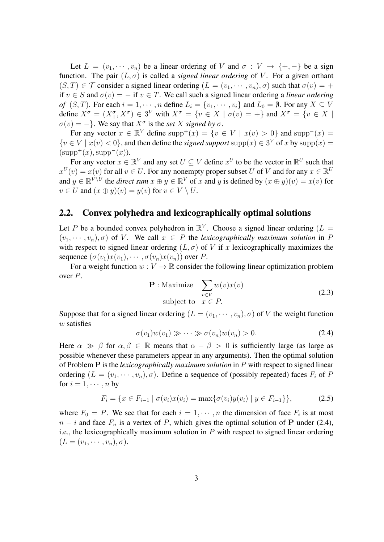Let  $L = (v_1, \dots, v_n)$  be a linear ordering of *V* and  $\sigma : V \to \{+, -\}$  be a sign function. The pair  $(L, \sigma)$  is called a *signed linear ordering* of V. For a given orthant  $(S, T) \in \mathcal{T}$  consider a signed linear ordering  $(L = (v_1, \dots, v_n), \sigma)$  such that  $\sigma(v) = +$ if  $v \in S$  and  $\sigma(v) = -$  if  $v \in T$ . We call such a signed linear ordering a *linear ordering* of  $(S, T)$ . For each  $i = 1, \dots, n$  define  $L_i = \{v_1, \dots, v_i\}$  and  $L_0 = \emptyset$ . For any  $X \subseteq V$ define  $X^{\sigma} = (X^{\sigma}_+, X^{\sigma}_-) \in 3^V$  with  $X^{\sigma}_{+} = \{v \in X \mid \sigma(v) = +\}$  and  $X^{\sigma}_{-} = \{v \in X \mid \sigma(v) = +\}$  $\sigma(v) = -\}$ . We say that  $X^{\sigma}$  is the *set X signed by*  $\sigma$ .

For any vector  $x \in \mathbb{R}^V$  define  $\text{supp}^+(x) = \{v \in V \mid x(v) > 0\}$  and  $\text{supp}^-(x) =$  ${v \in V \mid x(v) < 0}$ , and then define the *signed support* supp ${(x) \in 3^V \text{ of } x \text{ by } \text{supp}(x) = 1}$  $(supp^+(x), supp^-(x)).$ 

For any vector  $x \in \mathbb{R}^V$  and any set  $U \subseteq V$  define  $x^U$  to be the vector in  $\mathbb{R}^U$  such that  $x^U(v) = x(v)$  for all  $v \in U$ . For any nonempty proper subset *U* of *V* and for any  $x \in \mathbb{R}^U$ and  $y \in \mathbb{R}^{V \setminus U}$  the *direct sum*  $x \oplus y \in \mathbb{R}^{V}$  of  $x$  and  $y$  is defined by  $(x \oplus y)(v) = x(v)$  for  $v \in U$  and  $(x \oplus y)(v) = y(v)$  for  $v \in V \setminus U$ .

### 2.2. Convex polyhedra and lexicographically optimal solutions

Let P be a bounded convex polyhedron in  $\mathbb{R}^V$ . Choose a signed linear ordering ( $L =$  $(v_1, \dots, v_n), \sigma)$  of *V*. We call  $x \in P$  the *lexicographically maximum solution* in *P* with respect to signed linear ordering  $(L, \sigma)$  of *V* if *x* lexicographically maximizes the sequence  $(\sigma(v_1)x(v_1), \cdots, \sigma(v_n)x(v_n))$  over *P*.

For a weight function  $w: V \to \mathbb{R}$  consider the following linear optimization problem over *P*.

$$
\mathbf{P}: \text{Maximize} \quad \sum_{v \in V} w(v)x(v)
$$
  
subject to  $x \in P$ . (2.3)

Suppose that for a signed linear ordering  $(L = (v_1, \dots, v_n), \sigma)$  of V the weight function *w* satisfies

$$
\sigma(v_1)w(v_1) \gg \cdots \gg \sigma(v_n)w(v_n) > 0. \tag{2.4}
$$

Here  $\alpha \gg \beta$  for  $\alpha, \beta \in \mathbb{R}$  means that  $\alpha - \beta > 0$  is sufficiently large (as large as possible whenever these parameters appear in any arguments). Then the optimal solution of Problem **P** is the *lexicographically maximum solution* in *P* with respect to signed linear ordering  $(L = (v_1, \dots, v_n), \sigma)$ . Define a sequence of (possibly repeated) faces  $F_i$  of P for  $i = 1, \dots, n$  by

$$
F_i = \{ x \in F_{i-1} \mid \sigma(v_i)x(v_i) = \max\{\sigma(v_i)y(v_i) \mid y \in F_{i-1}\}\},\tag{2.5}
$$

where  $F_0 = P$ . We see that for each  $i = 1, \dots, n$  the dimension of face  $F_i$  is at most  $n - i$  and face  $F_n$  is a vertex of *P*, which gives the optimal solution of **P** under (2.4), i.e., the lexicographically maximum solution in *P* with respect to signed linear ordering  $(L = (v_1, \cdots, v_n), \sigma).$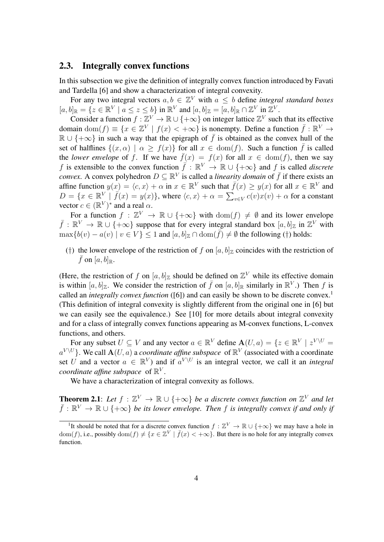### 2.3. Integrally convex functions

In this subsection we give the definition of integrally convex function introduced by Favati and Tardella [6] and show a characterization of integral convexity.

For any two integral vectors  $a, b \in \mathbb{Z}^V$  with  $a \leq b$  define *integral standard boxes*  $[a, b]_{\mathbb{R}} = \{z \in \mathbb{R}^V \mid a \le z \le b\}$  in  $\mathbb{R}^V$  and  $[a, b]_{\mathbb{Z}} = [a, b]_{\mathbb{R}} \cap \mathbb{Z}^V$  in  $\mathbb{Z}^V$ .

Consider a function  $f : \mathbb{Z}^V \to \mathbb{R} \cup \{+\infty\}$  on integer lattice  $\mathbb{Z}^V$  such that its effective domain  $dom(f) \equiv \{x \in \mathbb{Z}^V \mid f(x) < +\infty\}$  is nonempty. Define a function  $\bar{f} : \mathbb{R}^V \to$  $\mathbb{R} \cup \{+\infty\}$  in such a way that the epigraph of  $\bar{f}$  is obtained as the convex hull of the set of halflines  $\{(x, \alpha) | \alpha \geq f(x)\}$  for all  $x \in \text{dom}(f)$ . Such a function  $\overline{f}$  is called the *lower envelope* of *f*. If we have  $\bar{f}(x) = f(x)$  for all  $x \in \text{dom}(f)$ , then we say *f* is extensible to the convex function  $\bar{f}: \mathbb{R}^V \to \mathbb{R} \cup \{+\infty\}$  and *f* is called *discrete convex.* A convex polyhedron  $D \subseteq \mathbb{R}^V$  is called a *linearity domain* of  $\bar{f}$  if there exists an affine function  $y(x) = \langle c, x \rangle + \alpha$  in  $x \in \mathbb{R}^V$  such that  $\bar{f}(x) \ge y(x)$  for all  $x \in \mathbb{R}^V$  and  $D = \{x \in \mathbb{R}^V \mid \bar{f}(x) = y(x)\}\$ , where  $\langle c, x \rangle + \alpha = \sum_{v \in V} c(v)x(v) + \alpha$  for a constant vector  $c \in (\mathbb{R}^V)^*$  and a real  $\alpha$ .

For a function  $f : \mathbb{Z}^V \to \mathbb{R} \cup \{+\infty\}$  with  $\text{dom}(f) \neq \emptyset$  and its lower envelope  $\bar{f}: \mathbb{R}^V \to \mathbb{R} \cup \{+\infty\}$  suppose that for every integral standard box  $[a, b]_{\mathbb{Z}}$  in  $\mathbb{Z}^V$  with  $\max\{b(v) - a(v) \mid v \in V\} \leq 1$  and  $[a, b]_{\mathbb{Z}} \cap \text{dom}(\overline{f}) \neq \emptyset$  the following (†) holds:

(†) the lower envelope of the restriction of f on  $[a, b]_Z$  coincides with the restriction of  $\bar{f}$  on [a, b]<sub>R</sub>.

(Here, the restriction of f on  $[a, b]_Z$  should be defined on  $Z^V$  while its effective domain is within  $[a, b]_{\mathbb{Z}}$ . We consider the restriction of  $\bar{f}$  on  $[a, b]_{\mathbb{R}}$  similarly in  $\mathbb{R}^V$ .) Then f is called an *integrally convex function* ([6]) and can easily be shown to be discrete convex.<sup>1</sup> (This definition of integral convexity is slightly different from the original one in [6] but we can easily see the equivalence.) See [10] for more details about integral convexity and for a class of integrally convex functions appearing as M-convex functions, L-convex functions, and others.

For any subset  $U \subseteq V$  and any vector  $a \in \mathbb{R}^V$  define  $\mathbf{A}(U, a) = \{z \in \mathbb{R}^V \mid z^{V \setminus U} = \emptyset\}$  $a^{V \setminus U}$ }. We call  $\mathbf{A}(U, a)$  a *coordinate affine subspace* of  $\mathbb{R}^V$  (associated with a coordinate set *U* and a vector  $a \in \mathbb{R}^V$  and if  $a^{V \setminus U}$  is an integral vector, we call it an *integral coordinate affine subspace* of  $\mathbb{R}^V$ .

We have a characterization of integral convexity as follows.

**Theorem 2.1**: Let  $f : \mathbb{Z}^V \to \mathbb{R} \cup \{+\infty\}$  be a discrete convex function on  $\mathbb{Z}^V$  and let  $\bar{f}: \mathbb{R}^V \to \mathbb{R} \cup \{+\infty\}$  *be its lower envelope. Then f is integrally convex if and only if* 

<sup>&</sup>lt;sup>1</sup>It should be noted that for a discrete convex function  $f : \mathbb{Z}^V \to \mathbb{R} \cup \{+\infty\}$  we may have a hole in dom(*f*), i.e., possibly dom(*f*)  $\neq \{x \in \mathbb{Z}^V \mid \overline{f}(x) < +\infty\}$ . But there is no hole for any integrally convex function.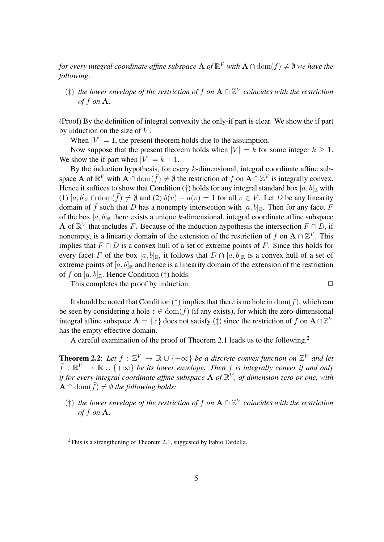*for every integral coordinate affine subspace*  ${\bf A}$  *of*  $\mathbb{R}^V$  *with*  ${\bf A}\cap{\rm dom}(\bar{f})\neq\emptyset$  *we have the following:*

(*‡*) *the lower envelope of the restriction of f on* **A** *∩* Z *V coincides with the restriction of*  $\bar{f}$  *on* **A**.

(Proof) By the definition of integral convexity the only-if part is clear. We show the if part by induction on the size of *V* .

When  $|V| = 1$ , the present theorem holds due to the assumption.

Now suppose that the present theorem holds when  $|V| = k$  for some integer  $k \geq 1$ . We show the if part when  $|V| = k + 1$ .

By the induction hypothesis, for every *k*-dimensional, integral coordinate affine subspace **A** of  $\mathbb{R}^V$  with  $\mathbf{A} \cap \text{dom}(\bar{f}) \neq \emptyset$  the restriction of *f* on  $\mathbf{A} \cap \mathbb{Z}^V$  is integrally convex. Hence it suffices to show that Condition (†) holds for any integral standard box  $[a, b]_Z$  with  $(1)$   $[a, b]_Z \cap \text{dom}(\bar{f}) \neq \emptyset$  and (2)  $b(v) - a(v) = 1$  for all  $v \in V$ . Let *D* be any linearity domain of  $\bar{f}$  such that *D* has a nonempty intersection with  $[a, b]_{\mathbb{R}}$ . Then for any facet *F* of the box  $[a, b]$ <sub>R</sub> there exists a unique *k*-dimensional, integral coordinate affine subspace **A** of  $\mathbb{R}^V$  that includes *F*. Because of the induction hypothesis the intersection  $F \cap D$ , if nonempty, is a linearity domain of the extension of the restriction of *f* on  $A \cap \mathbb{Z}^V$ . This implies that  $F \cap D$  is a convex hull of a set of extreme points of *F*. Since this holds for every facet *F* of the box  $[a, b]_{\mathbb{R}}$ , it follows that  $D \cap [a, b]_{\mathbb{R}}$  is a convex hull of a set of extreme points of  $[a, b]$ <sub>R</sub> and hence is a linearity domain of the extension of the restriction of *f* on  $[a, b]_Z$ . Hence Condition (†) holds.

This completes the proof by induction. **□** 

It should be noted that Condition  $(\dagger)$  implies that there is no hole in  $dom(f)$ , which can be seen by considering a hole  $z \in \text{dom}(f)$  (if any exists), for which the zero-dimensional integral affine subspace  $\mathbf{A} = \{z\}$  does not satisfy  $(\ddagger)$  since the restriction of *f* on  $\mathbf{A} \cap \mathbb{Z}^V$ has the empty effective domain.

A careful examination of the proof of Theorem 2.1 leads us to the following.<sup>2</sup>

**Theorem 2.2**: Let  $f : \mathbb{Z}^V \to \mathbb{R} \cup \{+\infty\}$  be a discrete convex function on  $\mathbb{Z}^V$  and let  $\bar{f}: \mathbb{R}^V \to \mathbb{R} \cup \{+\infty\}$  *be its lower envelope. Then f is integrally convex if and only if for every integral coordinate affine subspace* **A** *of* R *V , of dimension zero or one, with*  $\mathbf{A} \cap \text{dom}(\bar{f}) \neq \emptyset$  the following holds:

(*‡*) *the lower envelope of the restriction of f on* **A** *∩* Z *V coincides with the restriction of*  $\bar{f}$  *on* **A**.

<sup>&</sup>lt;sup>2</sup>This is a strengthening of Theorem 2.1, suggested by Fabio Tardella.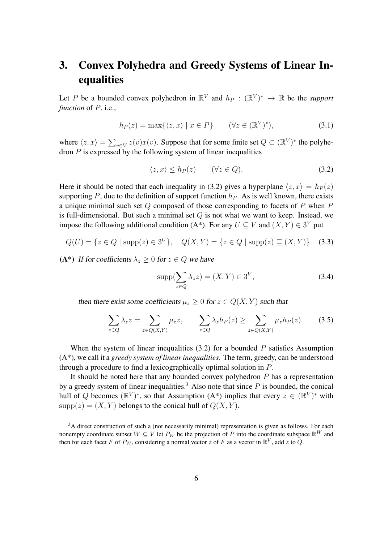## 3. Convex Polyhedra and Greedy Systems of Linear Inequalities

Let P be a bounded convex polyhedron in  $\mathbb{R}^V$  and  $h_P: (\mathbb{R}^V)^* \to \mathbb{R}$  be the *support function* of *P*, i.e.,

$$
h_P(z) = \max\{\langle z, x \rangle \mid x \in P\} \qquad (\forall z \in (\mathbb{R}^V)^*), \tag{3.1}
$$

where  $\langle z, x \rangle = \sum_{v \in V} z(v)x(v)$ . Suppose that for some finite set  $Q \subset (\mathbb{R}^V)^*$  the polyhedron *P* is expressed by the following system of linear inequalities

$$
\langle z, x \rangle \le h_P(z) \qquad (\forall z \in Q). \tag{3.2}
$$

Here it should be noted that each inequality in (3.2) gives a hyperplane  $\langle z, x \rangle = h_P(z)$ supporting *P*, due to the definition of support function  $h<sub>P</sub>$ . As is well known, there exists a unique minimal such set *Q* composed of those corresponding to facets of *P* when *P* is full-dimensional. But such a minimal set *Q* is not what we want to keep. Instead, we impose the following additional condition (A\*). For any  $U \subseteq V$  and  $(X, Y) \in 3^V$  put

$$
Q(U) = \{ z \in Q \mid \text{supp}(z) \in 3^U \}, \quad Q(X, Y) = \{ z \in Q \mid \text{supp}(z) \sqsubseteq (X, Y) \}. \tag{3.3}
$$

(A\*) If for coefficients  $\lambda_z \geq 0$  for  $z \in Q$  we have

$$
supp(\sum_{z \in Q} \lambda_z z) = (X, Y) \in 3^V,
$$
\n(3.4)

then there exist some coefficients  $\mu_z \geq 0$  for  $z \in Q(X, Y)$  such that

$$
\sum_{z \in Q} \lambda_z z = \sum_{z \in Q(X,Y)} \mu_z z, \qquad \sum_{z \in Q} \lambda_z h_P(z) \ge \sum_{z \in Q(X,Y)} \mu_z h_P(z). \tag{3.5}
$$

When the system of linear inequalities (3.2) for a bounded *P* satisfies Assumption (A\*), we call it a *greedy system of linear inequalities*. The term, greedy, can be understood through a procedure to find a lexicographically optimal solution in *P*.

It should be noted here that any bounded convex polyhedron *P* has a representation by a greedy system of linear inequalities.<sup>3</sup> Also note that since  $P$  is bounded, the conical hull of Q becomes  $(\mathbb{R}^V)^*$ , so that Assumption (A\*) implies that every  $z \in (\mathbb{R}^V)^*$  with  $supp(z) = (X, Y)$  belongs to the conical hull of  $Q(X, Y)$ .

 $3A$  direct construction of such a (not necessarily minimal) representation is given as follows. For each nonempty coordinate subset  $W \subseteq V$  let  $P_W$  be the projection of P into the coordinate subspace  $\mathbb{R}^W$  and then for each facet *F* of  $P_W$ , considering a normal vector *z* of *F* as a vector in  $\mathbb{R}^V$ , add *z* to *Q*.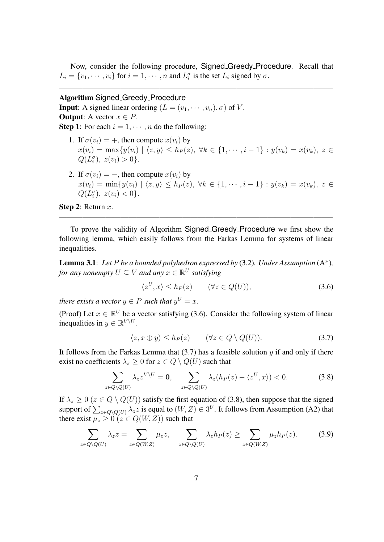Now, consider the following procedure, Signed Greedy Procedure. Recall that  $L_i = \{v_1, \dots, v_i\}$  for  $i = 1, \dots, n$  and  $L_i^{\sigma}$  is the set  $L_i$  signed by  $\sigma$ .

 $-\frac{1}{2}$  , and the set of the set of the set of the set of the set of the set of the set of the set of the set of the set of the set of the set of the set of the set of the set of the set of the set of the set of the set

### Algorithm Signed Greedy Procedure

**Input:** A signed linear ordering  $(L = (v_1, \dots, v_n), \sigma)$  of *V*. **Output:** A vector  $x \in P$ .

**Step 1:** For each  $i = 1, \dots, n$  do the following:

- 1. If  $\sigma(v_i) = +$ , then compute  $x(v_i)$  by  $x(v_i) = \max\{y(v_i) | \langle z, y \rangle \leq h_P(z), \forall k \in \{1, \cdots, i-1\} : y(v_k) = x(v_k), z \in$  $Q(L_i^{\sigma})$ ,  $z(v_i) > 0$ .
- 2. If  $\sigma(v_i) = -$ , then compute  $x(v_i)$  by  $x(v_i) = \min\{y(v_i) \mid \langle z, y \rangle \le h_P(z), \ \forall k \in \{1, \cdots, i-1\} : y(v_k) = x(v_k), \ z \in$  $Q(L_i^{\sigma})$ ,  $z(v_i) < 0$ .

Step 2: Return *x*.

To prove the validity of Algorithm Signed Greedy Procedure we first show the following lemma, which easily follows from the Farkas Lemma for systems of linear inequalities.

———————————————————————————————————–

Lemma 3.1: *Let P be a bounded polyhedron expressed by* (3.2)*. Under Assumption* (A\*)*, for any nonempty*  $U \subseteq V$  *and any*  $x \in \mathbb{R}^U$  *satisfying* 

$$
\langle z^U, x \rangle \le h_P(z) \qquad (\forall z \in Q(U)), \tag{3.6}
$$

*there exists a vector*  $y \in P$  *such that*  $y^U = x$ *.* 

(Proof) Let  $x \in \mathbb{R}^U$  be a vector satisfying (3.6). Consider the following system of linear inequalities in  $y \in \mathbb{R}^{V \setminus U}$ .

$$
\langle z, x \oplus y \rangle \le h_P(z) \qquad (\forall z \in Q \setminus Q(U)). \tag{3.7}
$$

It follows from the Farkas Lemma that (3.7) has a feasible solution *y* if and only if there exist no coefficients  $\lambda_z \geq 0$  for  $z \in Q \setminus Q(U)$  such that

$$
\sum_{z \in Q \setminus Q(U)} \lambda_z z^{V \setminus U} = \mathbf{0}, \quad \sum_{z \in Q \setminus Q(U)} \lambda_z (h_P(z) - \langle z^U, x \rangle) < 0. \tag{3.8}
$$

If  $\lambda_z \geq 0$  ( $z \in Q \setminus Q(U)$ ) satisfy the first equation of (3.8), then suppose that the signed support of  $\sum_{z \in Q \setminus Q(U)} \lambda_z z$  is equal to  $(W, Z) \in 3^U$ . It follows from Assumption (A2) that there exist  $\mu_z > 0$  ( $z \in Q(W, Z)$ ) such that

$$
\sum_{z \in Q \setminus Q(U)} \lambda_z z = \sum_{z \in Q(W,Z)} \mu_z z, \quad \sum_{z \in Q \setminus Q(U)} \lambda_z h_P(z) \ge \sum_{z \in Q(W,Z)} \mu_z h_P(z). \tag{3.9}
$$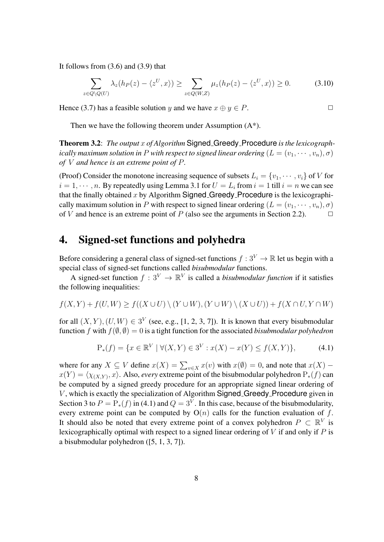It follows from  $(3.6)$  and  $(3.9)$  that

$$
\sum_{z \in Q \setminus Q(U)} \lambda_z(h_P(z) - \langle z^U, x \rangle) \ge \sum_{z \in Q(W, Z)} \mu_z(h_P(z) - \langle z^U, x \rangle) \ge 0.
$$
 (3.10)

Hence (3.7) has a feasible solution *y* and we have  $x \oplus y \in P$ .

Then we have the following theorem under Assumption  $(A^*)$ .

Theorem 3.2: *The output x of Algorithm* Signed Greedy Procedure *is the lexicographically maximum solution in P* with respect to signed linear ordering  $(L = (v_1, \dots, v_n), \sigma)$ *of V and hence is an extreme point of P.*

(Proof) Consider the monotone increasing sequence of subsets  $L_i = \{v_1, \dots, v_i\}$  of *V* for  $i = 1, \dots, n$ . By repeatedly using Lemma 3.1 for  $U = L_i$  from  $i = 1$  till  $i = n$  we can see that the finally obtained  $x$  by Algorithm Signed Greedy Procedure is the lexicographically maximum solution in *P* with respect to signed linear ordering  $(L = (v_1, \dots, v_n), \sigma)$ of *V* and hence is an extreme point of *P* (also see the arguments in Section 2.2).  $\Box$ 

## 4. Signed-set functions and polyhedra

Before considering a general class of signed-set functions  $f: 3^V \to \mathbb{R}$  let us begin with a special class of signed-set functions called *bisubmodular* functions.

A signed-set function  $f: 3^V \to \mathbb{R}^V$  is called a *bisubmodular function* if it satisfies the following inequalities:

$$
f(X,Y) + f(U,W) \ge f((X \cup U) \setminus (Y \cup W), (Y \cup W) \setminus (X \cup U)) + f(X \cap U, Y \cap W)
$$

for all  $(X, Y)$ ,  $(U, W) \in 3^V$  (see, e.g., [1, 2, 3, 7]). It is known that every bisubmodular function *f* with  $f(\emptyset, \emptyset) = 0$  is a tight function for the associated *bisubmodular polyhedron* 

$$
P_*(f) = \{ x \in \mathbb{R}^V \mid \forall (X, Y) \in 3^V : x(X) - x(Y) \le f(X, Y) \},\tag{4.1}
$$

where for any  $X \subseteq V$  define  $x(X) = \sum_{v \in X} x(v)$  with  $x(\emptyset) = 0$ , and note that  $x(X)$  $x(Y) = \langle \chi_{(X,Y)}, x \rangle$ . Also, *every* extreme point of the bisubmodular polyhedron  $P_*(f)$  can be computed by a signed greedy procedure for an appropriate signed linear ordering of *V*, which is exactly the specialization of Algorithm Signed Greedy Procedure given in Section 3 to  $P = P_*(f)$  in (4.1) and  $Q = 3^V$ . In this case, because of the bisubmodularity, every extreme point can be computed by  $O(n)$  calls for the function evaluation of f. It should also be noted that every extreme point of a convex polyhedron  $P \subset \mathbb{R}^V$  is lexicographically optimal with respect to a signed linear ordering of *V* if and only if *P* is a bisubmodular polyhedron ([5, 1, 3, 7]).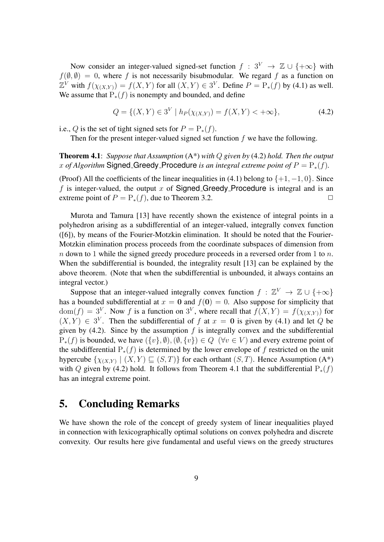Now consider an integer-valued signed-set function  $f : 3^V \rightarrow \mathbb{Z} \cup \{+\infty\}$  with  $f(\emptyset, \emptyset) = 0$ , where *f* is not necessarily bisubmodular. We regard *f* as a function on  $\mathbb{Z}^V$  with  $f(\chi_{(X,Y)}) = f(X,Y)$  for all  $(X,Y) \in 3^V$ . Define  $P = \mathbb{P}_*(f)$  by (4.1) as well. We assume that P*∗*(*f*) is nonempty and bounded, and define

$$
Q = \{(X, Y) \in 3^V \mid h_P(\chi_{(X, Y)}) = f(X, Y) < +\infty\},\tag{4.2}
$$

i.e., *Q* is the set of tight signed sets for  $P = P_*(f)$ .

Then for the present integer-valued signed set function *f* we have the following.

Theorem 4.1: *Suppose that Assumption* (A\*) *with Q given by* (4.2) *hold. Then the output x of Algorithm* Signed Greedy Procedure *is an integral extreme point of*  $P = P_*(f)$ *.* 

(Proof) All the coefficients of the linear inequalities in (4.1) belong to *{*+1*, −*1*,* 0*}*. Since *f* is integer-valued, the output *x* of Signed Greedy Procedure is integral and is an extreme point of  $P = P_*(f)$ , due to Theorem 3.2.

Murota and Tamura [13] have recently shown the existence of integral points in a polyhedron arising as a subdifferential of an integer-valued, integrally convex function ([6]), by means of the Fourier-Motzkin elimination. It should be noted that the Fourier-Motzkin elimination process proceeds from the coordinate subspaces of dimension from *n* down to 1 while the signed greedy procedure proceeds in a reversed order from 1 to *n*. When the subdifferential is bounded, the integrality result [13] can be explained by the above theorem. (Note that when the subdifferential is unbounded, it always contains an integral vector.)

Suppose that an integer-valued integrally convex function  $f : \mathbb{Z}^V \to \mathbb{Z} \cup \{+\infty\}$ has a bounded subdifferential at  $x = 0$  and  $f(0) = 0$ . Also suppose for simplicity that  $dom(f) = 3^V$ . Now *f* is a function on 3<sup>V</sup>, where recall that  $f(X, Y) = f(\chi_{(X,Y)})$  for  $(X, Y) \in 3^V$ . Then the subdifferential of f at  $x = 0$  is given by (4.1) and let Q be given by  $(4.2)$ . Since by the assumption  $f$  is integrally convex and the subdifferential  $P_*(f)$  is bounded, we have  $({v}, \emptyset), (\emptyset, {v}) \in Q \ (\forall v \in V)$  and every extreme point of the subdifferential P*∗*(*f*) is determined by the lower envelope of *f* restricted on the unit hypercube  $\{\chi_{(X,Y)} \mid (X,Y) \sqsubseteq (S,T)\}\$  for each orthant  $(S,T)$ . Hence Assumption  $(A^*)$ with *Q* given by (4.2) hold. It follows from Theorem 4.1 that the subdifferential P*∗*(*f*) has an integral extreme point.

## 5. Concluding Remarks

We have shown the role of the concept of greedy system of linear inequalities played in connection with lexicographically optimal solutions on convex polyhedra and discrete convexity. Our results here give fundamental and useful views on the greedy structures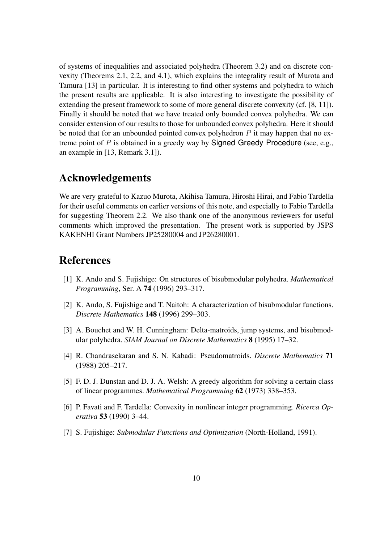of systems of inequalities and associated polyhedra (Theorem 3.2) and on discrete convexity (Theorems 2.1, 2.2, and 4.1), which explains the integrality result of Murota and Tamura [13] in particular. It is interesting to find other systems and polyhedra to which the present results are applicable. It is also interesting to investigate the possibility of extending the present framework to some of more general discrete convexity (cf. [8, 11]). Finally it should be noted that we have treated only bounded convex polyhedra. We can consider extension of our results to those for unbounded convex polyhedra. Here it should be noted that for an unbounded pointed convex polyhedron *P* it may happen that no extreme point of P is obtained in a greedy way by **Signed** Greedy Procedure (see, e.g., an example in [13, Remark 3.1]).

## Acknowledgements

We are very grateful to Kazuo Murota, Akihisa Tamura, Hiroshi Hirai, and Fabio Tardella for their useful comments on earlier versions of this note, and especially to Fabio Tardella for suggesting Theorem 2.2. We also thank one of the anonymous reviewers for useful comments which improved the presentation. The present work is supported by JSPS KAKENHI Grant Numbers JP25280004 and JP26280001.

## References

- [1] K. Ando and S. Fujishige: On structures of bisubmodular polyhedra. *Mathematical Programming*, Ser. A 74 (1996) 293–317.
- [2] K. Ando, S. Fujishige and T. Naitoh: A characterization of bisubmodular functions. *Discrete Mathematics* 148 (1996) 299–303.
- [3] A. Bouchet and W. H. Cunningham: Delta-matroids, jump systems, and bisubmodular polyhedra. *SIAM Journal on Discrete Mathematics* 8 (1995) 17–32.
- [4] R. Chandrasekaran and S. N. Kabadi: Pseudomatroids. *Discrete Mathematics* 71 (1988) 205–217.
- [5] F. D. J. Dunstan and D. J. A. Welsh: A greedy algorithm for solving a certain class of linear programmes. *Mathematical Programming* 62 (1973) 338–353.
- [6] P. Favati and F. Tardella: Convexity in nonlinear integer programming. *Ricerca Operativa* 53 (1990) 3–44.
- [7] S. Fujishige: *Submodular Functions and Optimization* (North-Holland, 1991).